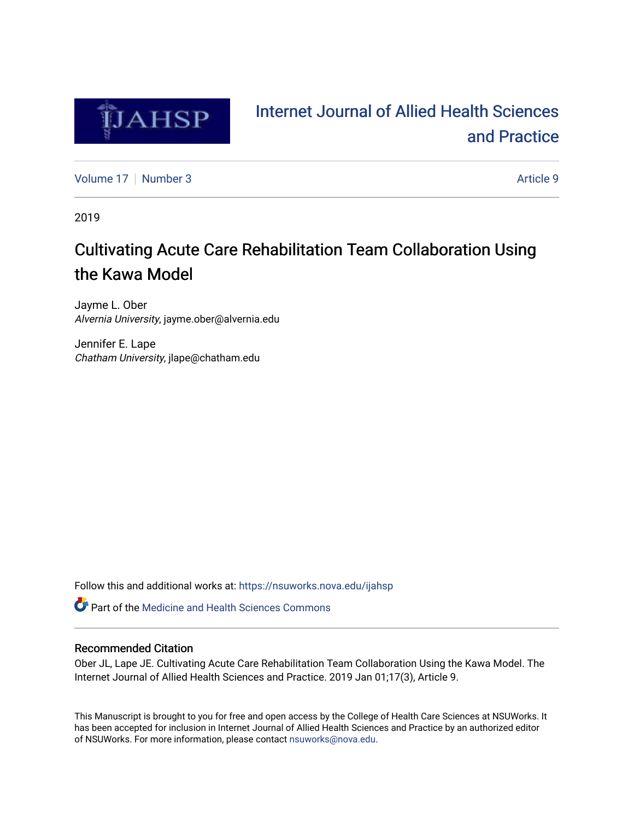

# [Internet Journal of Allied Health Sciences](https://nsuworks.nova.edu/ijahsp)  [and Practice](https://nsuworks.nova.edu/ijahsp)

[Volume 17](https://nsuworks.nova.edu/ijahsp/vol17) | [Number 3](https://nsuworks.nova.edu/ijahsp/vol17/iss3) Article 9

2019

# Cultivating Acute Care Rehabilitation Team Collaboration Using the Kawa Model

Jayme L. Ober Alvernia University, jayme.ober@alvernia.edu

Jennifer E. Lape Chatham University, jlape@chatham.edu

Follow this and additional works at: [https://nsuworks.nova.edu/ijahsp](https://nsuworks.nova.edu/ijahsp?utm_source=nsuworks.nova.edu%2Fijahsp%2Fvol17%2Fiss3%2F9&utm_medium=PDF&utm_campaign=PDFCoverPages) 

**C** Part of the Medicine and Health Sciences Commons

## Recommended Citation

Ober JL, Lape JE. Cultivating Acute Care Rehabilitation Team Collaboration Using the Kawa Model. The Internet Journal of Allied Health Sciences and Practice. 2019 Jan 01;17(3), Article 9.

This Manuscript is brought to you for free and open access by the College of Health Care Sciences at NSUWorks. It has been accepted for inclusion in Internet Journal of Allied Health Sciences and Practice by an authorized editor of NSUWorks. For more information, please contact [nsuworks@nova.edu.](mailto:nsuworks@nova.edu)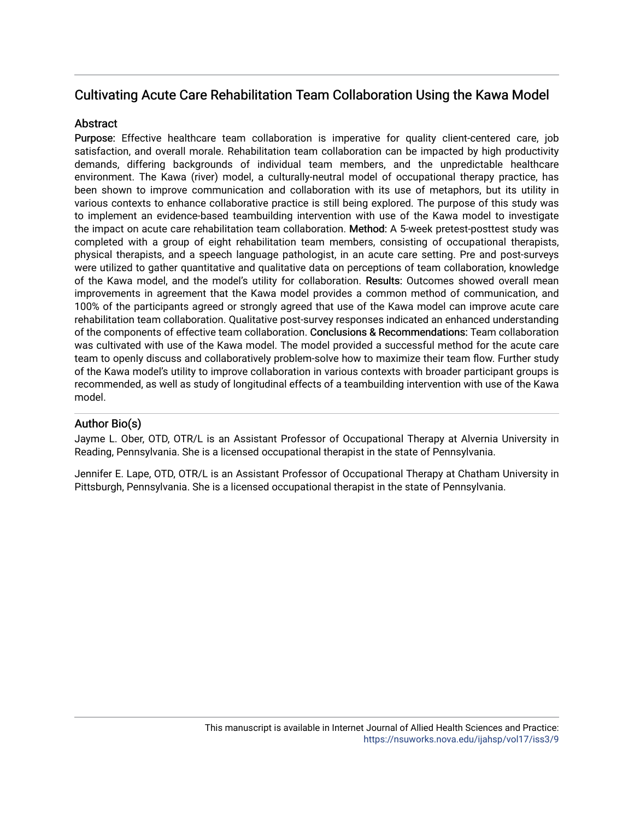## Cultivating Acute Care Rehabilitation Team Collaboration Using the Kawa Model

## **Abstract**

Purpose: Effective healthcare team collaboration is imperative for quality client-centered care, job satisfaction, and overall morale. Rehabilitation team collaboration can be impacted by high productivity demands, differing backgrounds of individual team members, and the unpredictable healthcare environment. The Kawa (river) model, a culturally-neutral model of occupational therapy practice, has been shown to improve communication and collaboration with its use of metaphors, but its utility in various contexts to enhance collaborative practice is still being explored. The purpose of this study was to implement an evidence-based teambuilding intervention with use of the Kawa model to investigate the impact on acute care rehabilitation team collaboration. Method: A 5-week pretest-posttest study was completed with a group of eight rehabilitation team members, consisting of occupational therapists, physical therapists, and a speech language pathologist, in an acute care setting. Pre and post-surveys were utilized to gather quantitative and qualitative data on perceptions of team collaboration, knowledge of the Kawa model, and the model's utility for collaboration. Results: Outcomes showed overall mean improvements in agreement that the Kawa model provides a common method of communication, and 100% of the participants agreed or strongly agreed that use of the Kawa model can improve acute care rehabilitation team collaboration. Qualitative post-survey responses indicated an enhanced understanding of the components of effective team collaboration. Conclusions & Recommendations: Team collaboration was cultivated with use of the Kawa model. The model provided a successful method for the acute care team to openly discuss and collaboratively problem-solve how to maximize their team flow. Further study of the Kawa model's utility to improve collaboration in various contexts with broader participant groups is recommended, as well as study of longitudinal effects of a teambuilding intervention with use of the Kawa model.

## Author Bio(s)

Jayme L. Ober, OTD, OTR/L is an Assistant Professor of Occupational Therapy at Alvernia University in Reading, Pennsylvania. She is a licensed occupational therapist in the state of Pennsylvania.

Jennifer E. Lape, OTD, OTR/L is an Assistant Professor of Occupational Therapy at Chatham University in Pittsburgh, Pennsylvania. She is a licensed occupational therapist in the state of Pennsylvania.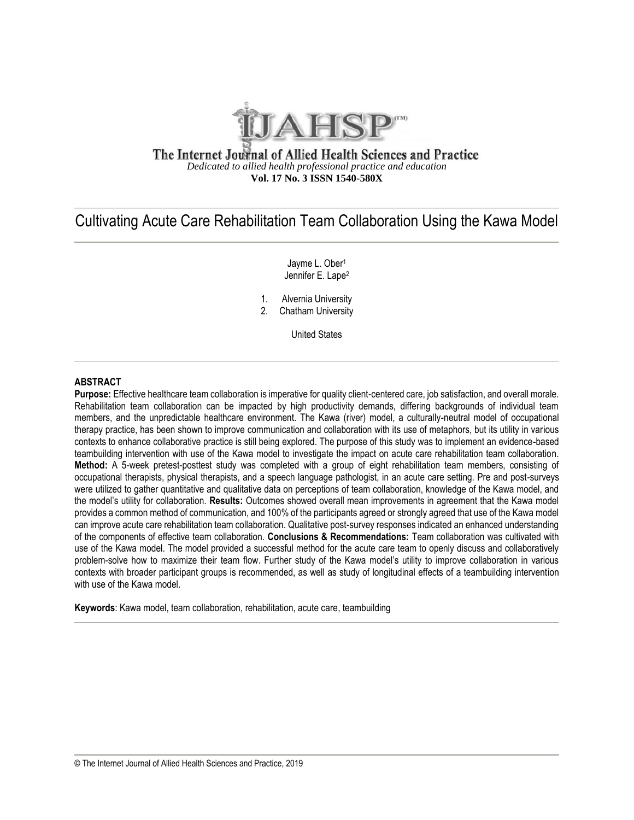

## The Internet Journal of Allied Health Sciences and Practice *Dedicated to allied health professional practice and education* **Vol. 17 No. 3 ISSN 1540-580X**

## Cultivating Acute Care Rehabilitation Team Collaboration Using the Kawa Model

Jayme L. Ober<sup>1</sup> Jennifer E. Lape<sup>2</sup>

- 1. Alvernia University
- 2. Chatham University

United States

## **ABSTRACT**

**Purpose:** Effective healthcare team collaboration is imperative for quality client-centered care, job satisfaction, and overall morale. Rehabilitation team collaboration can be impacted by high productivity demands, differing backgrounds of individual team members, and the unpredictable healthcare environment. The Kawa (river) model, a culturally-neutral model of occupational therapy practice, has been shown to improve communication and collaboration with its use of metaphors, but its utility in various contexts to enhance collaborative practice is still being explored. The purpose of this study was to implement an evidence-based teambuilding intervention with use of the Kawa model to investigate the impact on acute care rehabilitation team collaboration. **Method:** A 5-week pretest-posttest study was completed with a group of eight rehabilitation team members, consisting of occupational therapists, physical therapists, and a speech language pathologist, in an acute care setting. Pre and post-surveys were utilized to gather quantitative and qualitative data on perceptions of team collaboration, knowledge of the Kawa model, and the model's utility for collaboration. **Results:** Outcomes showed overall mean improvements in agreement that the Kawa model provides a common method of communication, and 100% of the participants agreed or strongly agreed that use of the Kawa model can improve acute care rehabilitation team collaboration. Qualitative post-survey responses indicated an enhanced understanding of the components of effective team collaboration. **Conclusions & Recommendations:** Team collaboration was cultivated with use of the Kawa model. The model provided a successful method for the acute care team to openly discuss and collaboratively problem-solve how to maximize their team flow. Further study of the Kawa model's utility to improve collaboration in various contexts with broader participant groups is recommended, as well as study of longitudinal effects of a teambuilding intervention with use of the Kawa model.

**Keywords**: Kawa model, team collaboration, rehabilitation, acute care, teambuilding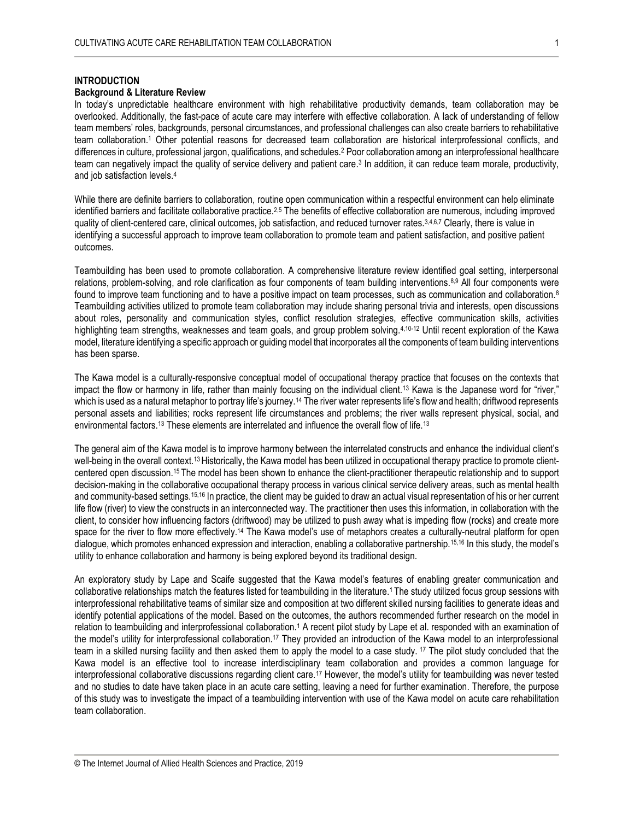## **INTRODUCTION**

## **Background & Literature Review**

In today's unpredictable healthcare environment with high rehabilitative productivity demands, team collaboration may be overlooked. Additionally, the fast-pace of acute care may interfere with effective collaboration. A lack of understanding of fellow team members' roles, backgrounds, personal circumstances, and professional challenges can also create barriers to rehabilitative team collaboration. <sup>1</sup> Other potential reasons for decreased team collaboration are historical interprofessional conflicts, and differences in culture, professional jargon, qualifications, and schedules.<sup>2</sup> Poor collaboration among an interprofessional healthcare team can negatively impact the quality of service delivery and patient care. 3 In addition, it can reduce team morale, productivity, and job satisfaction levels. 4

While there are definite barriers to collaboration, routine open communication within a respectful environment can help eliminate identified barriers and facilitate collaborative practice.<sup>2,5</sup> The benefits of effective collaboration are numerous, including improved quality of client-centered care, clinical outcomes, job satisfaction, and reduced turnover rates.<sup>3,4,6,7</sup> Clearly, there is value in identifying a successful approach to improve team collaboration to promote team and patient satisfaction, and positive patient outcomes.

Teambuilding has been used to promote collaboration. A comprehensive literature review identified goal setting, interpersonal relations, problem-solving, and role clarification as four components of team building interventions.8,9 All four components were found to improve team functioning and to have a positive impact on team processes, such as communication and collaboration.<sup>8</sup> Teambuilding activities utilized to promote team collaboration may include sharing personal trivia and interests, open discussions about roles, personality and communication styles, conflict resolution strategies, effective communication skills, activities highlighting team strengths, weaknesses and team goals, and group problem solving.<sup>4,10-12</sup> Until recent exploration of the Kawa model, literature identifying a specific approach or guiding model that incorporates all the components of team building interventions has been sparse.

The Kawa model is a culturally-responsive conceptual model of occupational therapy practice that focuses on the contexts that impact the flow or harmony in life, rather than mainly focusing on the individual client.<sup>13</sup> Kawa is the Japanese word for "river," which is used as a natural metaphor to portray life's journey.<sup>14</sup> The river water represents life's flow and health; driftwood represents personal assets and liabilities; rocks represent life circumstances and problems; the river walls represent physical, social, and environmental factors.<sup>13</sup> These elements are interrelated and influence the overall flow of life.<sup>13</sup>

The general aim of the Kawa model is to improve harmony between the interrelated constructs and enhance the individual client's well-being in the overall context.13 Historically, the Kawa model has been utilized in occupational therapy practice to promote clientcentered open discussion.15 The model has been shown to enhance the client-practitioner therapeutic relationship and to support decision-making in the collaborative occupational therapy process in various clinical service delivery areas, such as mental health and community-based settings.15,16 In practice, the client may be guided to draw an actual visual representation of his or her current life flow (river) to view the constructs in an interconnected way. The practitioner then uses this information, in collaboration with the client, to consider how influencing factors (driftwood) may be utilized to push away what is impeding flow (rocks) and create more space for the river to flow more effectively.<sup>14</sup> The Kawa model's use of metaphors creates a culturally-neutral platform for open dialogue, which promotes enhanced expression and interaction, enabling a collaborative partnership.15,16 In this study, the model's utility to enhance collaboration and harmony is being explored beyond its traditional design.

An exploratory study by Lape and Scaife suggested that the Kawa model's features of enabling greater communication and collaborative relationships match the features listed for teambuilding in the literature.1 The study utilized focus group sessions with interprofessional rehabilitative teams of similar size and composition at two different skilled nursing facilities to generate ideas and identify potential applications of the model. Based on the outcomes, the authors recommended further research on the model in relation to teambuilding and interprofessional collaboration.<sup>1</sup> A recent pilot study by Lape et al. responded with an examination of the model's utility for interprofessional collaboration.<sup>17</sup> They provided an introduction of the Kawa model to an interprofessional team in a skilled nursing facility and then asked them to apply the model to a case study. <sup>17</sup> The pilot study concluded that the Kawa model is an effective tool to increase interdisciplinary team collaboration and provides a common language for interprofessional collaborative discussions regarding client care.<sup>17</sup> However, the model's utility for teambuilding was never tested and no studies to date have taken place in an acute care setting, leaving a need for further examination. Therefore, the purpose of this study was to investigate the impact of a teambuilding intervention with use of the Kawa model on acute care rehabilitation team collaboration.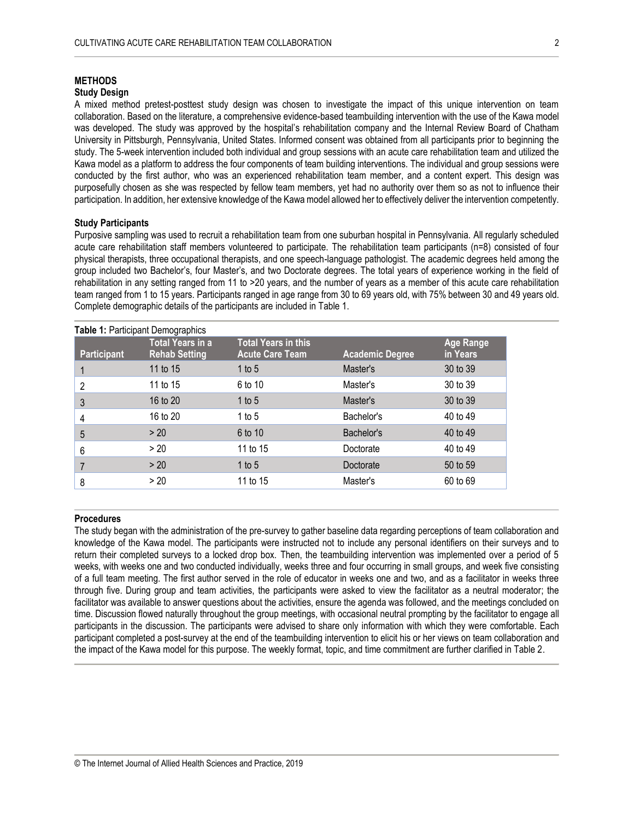## **METHODS**

#### **Study Design**

A mixed method pretest-posttest study design was chosen to investigate the impact of this unique intervention on team collaboration. Based on the literature, a comprehensive evidence-based teambuilding intervention with the use of the Kawa model was developed. The study was approved by the hospital's rehabilitation company and the Internal Review Board of Chatham University in Pittsburgh, Pennsylvania, United States. Informed consent was obtained from all participants prior to beginning the study. The 5-week intervention included both individual and group sessions with an acute care rehabilitation team and utilized the Kawa model as a platform to address the four components of team building interventions. The individual and group sessions were conducted by the first author, who was an experienced rehabilitation team member, and a content expert. This design was purposefully chosen as she was respected by fellow team members, yet had no authority over them so as not to influence their participation. In addition, her extensive knowledge of the Kawa model allowed her to effectively deliver the intervention competently.

#### **Study Participants**

Purposive sampling was used to recruit a rehabilitation team from one suburban hospital in Pennsylvania. All regularly scheduled acute care rehabilitation staff members volunteered to participate. The rehabilitation team participants (n=8) consisted of four physical therapists, three occupational therapists, and one speech-language pathologist. The academic degrees held among the group included two Bachelor's, four Master's, and two Doctorate degrees. The total years of experience working in the field of rehabilitation in any setting ranged from 11 to >20 years, and the number of years as a member of this acute care rehabilitation team ranged from 1 to 15 years. Participants ranged in age range from 30 to 69 years old, with 75% between 30 and 49 years old. Complete demographic details of the participants are included in Table 1.

## **Table 1:** Participant Demographics

| <b>Participant</b> | <b>Total Years in a</b><br><b>Rehab Setting</b> | <b>Total Years in this</b><br><b>Acute Care Team</b> | <b>Academic Degree</b> | <b>Age Range</b><br>in Years |
|--------------------|-------------------------------------------------|------------------------------------------------------|------------------------|------------------------------|
|                    | 11 to 15                                        | 1 to 5                                               | Master's               | 30 to 39                     |
| 2                  | 11 to 15                                        | 6 to 10                                              | Master's               | 30 to 39                     |
| 3                  | 16 to 20                                        | 1 to 5                                               | Master's               | 30 to 39                     |
| 4                  | 16 to 20                                        | 1 to $5$                                             | Bachelor's             | 40 to 49                     |
| 5                  | > 20                                            | 6 to 10                                              | Bachelor's             | 40 to 49                     |
| 6                  | > 20                                            | 11 to 15                                             | Doctorate              | 40 to 49                     |
|                    | > 20                                            | 1 to $5$                                             | Doctorate              | 50 to 59                     |
| 8                  | > 20                                            | 11 to 15                                             | Master's               | 60 to 69                     |

#### **Procedures**

The study began with the administration of the pre-survey to gather baseline data regarding perceptions of team collaboration and knowledge of the Kawa model. The participants were instructed not to include any personal identifiers on their surveys and to return their completed surveys to a locked drop box. Then, the teambuilding intervention was implemented over a period of 5 weeks, with weeks one and two conducted individually, weeks three and four occurring in small groups, and week five consisting of a full team meeting. The first author served in the role of educator in weeks one and two, and as a facilitator in weeks three through five. During group and team activities, the participants were asked to view the facilitator as a neutral moderator; the facilitator was available to answer questions about the activities, ensure the agenda was followed, and the meetings concluded on time. Discussion flowed naturally throughout the group meetings, with occasional neutral prompting by the facilitator to engage all participants in the discussion. The participants were advised to share only information with which they were comfortable. Each participant completed a post-survey at the end of the teambuilding intervention to elicit his or her views on team collaboration and the impact of the Kawa model for this purpose. The weekly format, topic, and time commitment are further clarified in Table 2.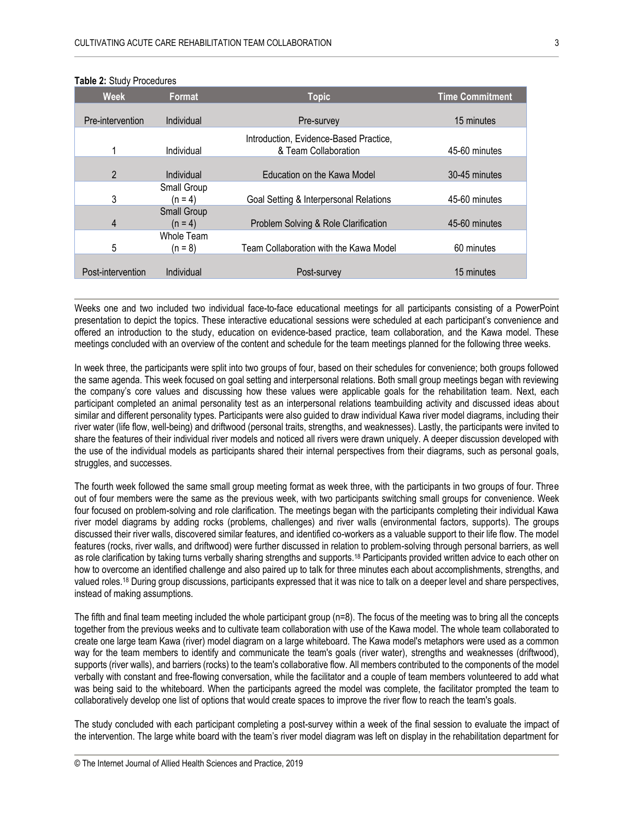| <b>Week</b>       | Format                          | <b>Topic</b>                                                   | <b>Time Commitment</b> |
|-------------------|---------------------------------|----------------------------------------------------------------|------------------------|
| Pre-intervention  | Individual                      | Pre-survey                                                     | 15 minutes             |
| 1                 | Individual                      | Introduction, Evidence-Based Practice,<br>& Team Collaboration | 45-60 minutes          |
| $\overline{2}$    | Individual                      | Education on the Kawa Model                                    | 30-45 minutes          |
| 3                 | Small Group<br>$(n = 4)$        | Goal Setting & Interpersonal Relations                         | 45-60 minutes          |
| 4                 | <b>Small Group</b><br>$(n = 4)$ | Problem Solving & Role Clarification                           | 45-60 minutes          |
| 5                 | Whole Team<br>$(n = 8)$         | Team Collaboration with the Kawa Model                         | 60 minutes             |
| Post-intervention | Individual                      | Post-survey                                                    | 15 minutes             |

#### **Table 2:** Study Procedures

Weeks one and two included two individual face-to-face educational meetings for all participants consisting of a PowerPoint presentation to depict the topics. These interactive educational sessions were scheduled at each participant's convenience and offered an introduction to the study, education on evidence-based practice, team collaboration, and the Kawa model. These meetings concluded with an overview of the content and schedule for the team meetings planned for the following three weeks.

In week three, the participants were split into two groups of four, based on their schedules for convenience; both groups followed the same agenda. This week focused on goal setting and interpersonal relations. Both small group meetings began with reviewing the company's core values and discussing how these values were applicable goals for the rehabilitation team. Next, each participant completed an animal personality test as an interpersonal relations teambuilding activity and discussed ideas about similar and different personality types. Participants were also guided to draw individual Kawa river model diagrams, including their river water (life flow, well-being) and driftwood (personal traits, strengths, and weaknesses). Lastly, the participants were invited to share the features of their individual river models and noticed all rivers were drawn uniquely. A deeper discussion developed with the use of the individual models as participants shared their internal perspectives from their diagrams, such as personal goals, struggles, and successes.

The fourth week followed the same small group meeting format as week three, with the participants in two groups of four. Three out of four members were the same as the previous week, with two participants switching small groups for convenience. Week four focused on problem-solving and role clarification. The meetings began with the participants completing their individual Kawa river model diagrams by adding rocks (problems, challenges) and river walls (environmental factors, supports). The groups discussed their river walls, discovered similar features, and identified co-workers as a valuable support to their life flow. The model features (rocks, river walls, and driftwood) were further discussed in relation to problem-solving through personal barriers, as well as role clarification by taking turns verbally sharing strengths and supports.<sup>18</sup> Participants provided written advice to each other on how to overcome an identified challenge and also paired up to talk for three minutes each about accomplishments, strengths, and valued roles.<sup>18</sup> During group discussions, participants expressed that it was nice to talk on a deeper level and share perspectives, instead of making assumptions.

The fifth and final team meeting included the whole participant group (n=8). The focus of the meeting was to bring all the concepts together from the previous weeks and to cultivate team collaboration with use of the Kawa model. The whole team collaborated to create one large team Kawa (river) model diagram on a large whiteboard. The Kawa model's metaphors were used as a common way for the team members to identify and communicate the team's goals (river water), strengths and weaknesses (driftwood), supports (river walls), and barriers (rocks) to the team's collaborative flow. All members contributed to the components of the model verbally with constant and free-flowing conversation, while the facilitator and a couple of team members volunteered to add what was being said to the whiteboard. When the participants agreed the model was complete, the facilitator prompted the team to collaboratively develop one list of options that would create spaces to improve the river flow to reach the team's goals.

The study concluded with each participant completing a post-survey within a week of the final session to evaluate the impact of the intervention. The large white board with the team's river model diagram was left on display in the rehabilitation department for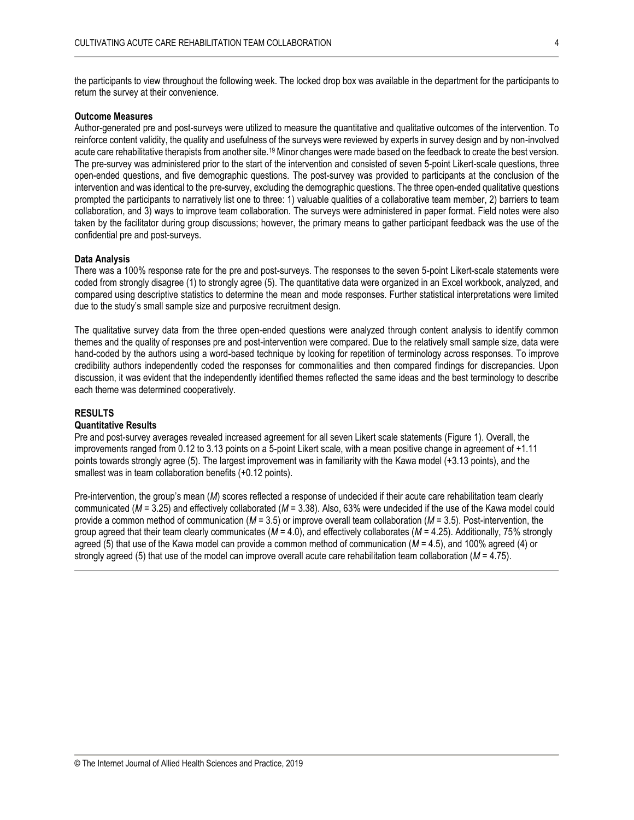the participants to view throughout the following week. The locked drop box was available in the department for the participants to return the survey at their convenience.

### **Outcome Measures**

Author-generated pre and post-surveys were utilized to measure the quantitative and qualitative outcomes of the intervention. To reinforce content validity, the quality and usefulness of the surveys were reviewed by experts in survey design and by non-involved acute care rehabilitative therapists from another site.<sup>19</sup> Minor changes were made based on the feedback to create the best version. The pre-survey was administered prior to the start of the intervention and consisted of seven 5-point Likert-scale questions, three open-ended questions, and five demographic questions. The post-survey was provided to participants at the conclusion of the intervention and was identical to the pre-survey, excluding the demographic questions. The three open-ended qualitative questions prompted the participants to narratively list one to three: 1) valuable qualities of a collaborative team member, 2) barriers to team collaboration, and 3) ways to improve team collaboration. The surveys were administered in paper format. Field notes were also taken by the facilitator during group discussions; however, the primary means to gather participant feedback was the use of the confidential pre and post-surveys.

#### **Data Analysis**

There was a 100% response rate for the pre and post-surveys. The responses to the seven 5-point Likert-scale statements were coded from strongly disagree (1) to strongly agree (5). The quantitative data were organized in an Excel workbook, analyzed, and compared using descriptive statistics to determine the mean and mode responses. Further statistical interpretations were limited due to the study's small sample size and purposive recruitment design.

The qualitative survey data from the three open-ended questions were analyzed through content analysis to identify common themes and the quality of responses pre and post-intervention were compared. Due to the relatively small sample size, data were hand-coded by the authors using a word-based technique by looking for repetition of terminology across responses. To improve credibility authors independently coded the responses for commonalities and then compared findings for discrepancies. Upon discussion, it was evident that the independently identified themes reflected the same ideas and the best terminology to describe each theme was determined cooperatively.

#### **RESULTS**

### **Quantitative Results**

Pre and post-survey averages revealed increased agreement for all seven Likert scale statements (Figure 1). Overall, the improvements ranged from 0.12 to 3.13 points on a 5-point Likert scale, with a mean positive change in agreement of +1.11 points towards strongly agree (5). The largest improvement was in familiarity with the Kawa model (+3.13 points), and the smallest was in team collaboration benefits (+0.12 points).

Pre-intervention, the group's mean (*M*) scores reflected a response of undecided if their acute care rehabilitation team clearly communicated (*M* = 3.25) and effectively collaborated (*M* = 3.38). Also, 63% were undecided if the use of the Kawa model could provide a common method of communication (*M* = 3.5) or improve overall team collaboration (*M* = 3.5). Post-intervention, the group agreed that their team clearly communicates (*M* = 4.0), and effectively collaborates (*M* = 4.25). Additionally, 75% strongly agreed (5) that use of the Kawa model can provide a common method of communication (*M* = 4.5), and 100% agreed (4) or strongly agreed (5) that use of the model can improve overall acute care rehabilitation team collaboration (*M* = 4.75).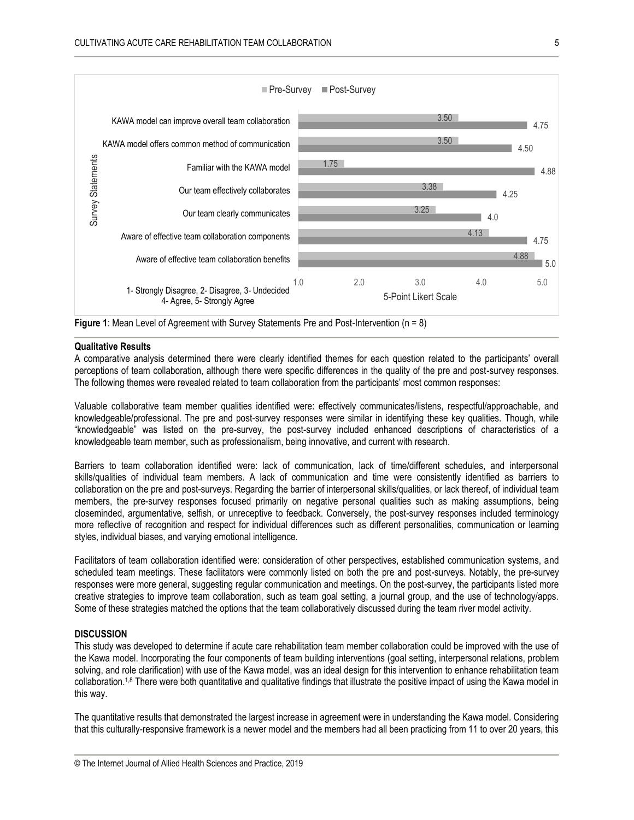



#### **Qualitative Results**

A comparative analysis determined there were clearly identified themes for each question related to the participants' overall perceptions of team collaboration, although there were specific differences in the quality of the pre and post-survey responses. The following themes were revealed related to team collaboration from the participants' most common responses:

Valuable collaborative team member qualities identified were: effectively communicates/listens, respectful/approachable, and knowledgeable/professional. The pre and post-survey responses were similar in identifying these key qualities. Though, while "knowledgeable" was listed on the pre-survey, the post-survey included enhanced descriptions of characteristics of a knowledgeable team member, such as professionalism, being innovative, and current with research.

Barriers to team collaboration identified were: lack of communication, lack of time/different schedules, and interpersonal skills/qualities of individual team members. A lack of communication and time were consistently identified as barriers to collaboration on the pre and post-surveys. Regarding the barrier of interpersonal skills/qualities, or lack thereof, of individual team members, the pre-survey responses focused primarily on negative personal qualities such as making assumptions, being closeminded, argumentative, selfish, or unreceptive to feedback. Conversely, the post-survey responses included terminology more reflective of recognition and respect for individual differences such as different personalities, communication or learning styles, individual biases, and varying emotional intelligence.

Facilitators of team collaboration identified were: consideration of other perspectives, established communication systems, and scheduled team meetings. These facilitators were commonly listed on both the pre and post-surveys. Notably, the pre-survey responses were more general, suggesting regular communication and meetings. On the post-survey, the participants listed more creative strategies to improve team collaboration, such as team goal setting, a journal group, and the use of technology/apps. Some of these strategies matched the options that the team collaboratively discussed during the team river model activity.

## **DISCUSSION**

This study was developed to determine if acute care rehabilitation team member collaboration could be improved with the use of the Kawa model. Incorporating the four components of team building interventions (goal setting, interpersonal relations, problem solving, and role clarification) with use of the Kawa model, was an ideal design for this intervention to enhance rehabilitation team collaboration.<sup>1,8</sup> There were both quantitative and qualitative findings that illustrate the positive impact of using the Kawa model in this way.

The quantitative results that demonstrated the largest increase in agreement were in understanding the Kawa model. Considering that this culturally-responsive framework is a newer model and the members had all been practicing from 11 to over 20 years, this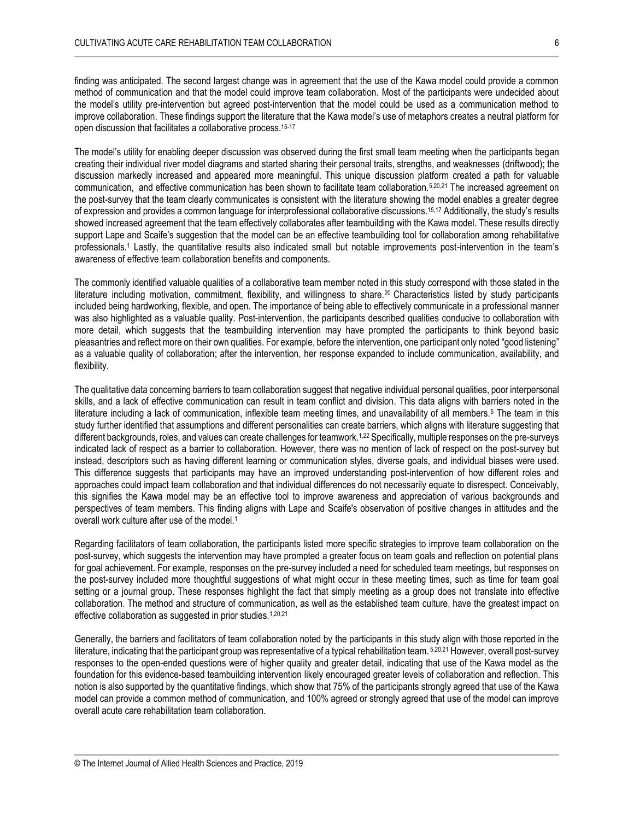finding was anticipated. The second largest change was in agreement that the use of the Kawa model could provide a common method of communication and that the model could improve team collaboration. Most of the participants were undecided about the model's utility pre-intervention but agreed post-intervention that the model could be used as a communication method to improve collaboration. These findings support the literature that the Kawa model's use of metaphors creates a neutral platform for open discussion that facilitates a collaborative process.15-17

The model's utility for enabling deeper discussion was observed during the first small team meeting when the participants began creating their individual river model diagrams and started sharing their personal traits, strengths, and weaknesses (driftwood); the discussion markedly increased and appeared more meaningful. This unique discussion platform created a path for valuable communication, and effective communication has been shown to facilitate team collaboration.5,20,21 The increased agreement on the post-survey that the team clearly communicates is consistent with the literature showing the model enables a greater degree of expression and provides a common language for interprofessional collaborative discussions.15,17 Additionally, the study's results showed increased agreement that the team effectively collaborates after teambuilding with the Kawa model. These results directly support Lape and Scaife's suggestion that the model can be an effective teambuilding tool for collaboration among rehabilitative professionals.<sup>1</sup> Lastly, the quantitative results also indicated small but notable improvements post-intervention in the team's awareness of effective team collaboration benefits and components.

The commonly identified valuable qualities of a collaborative team member noted in this study correspond with those stated in the literature including motivation, commitment, flexibility, and willingness to share.20 Characteristics listed by study participants included being hardworking, flexible, and open. The importance of being able to effectively communicate in a professional manner was also highlighted as a valuable quality. Post-intervention, the participants described qualities conducive to collaboration with more detail, which suggests that the teambuilding intervention may have prompted the participants to think beyond basic pleasantries and reflect more on their own qualities. For example, before the intervention, one participant only noted "good listening" as a valuable quality of collaboration; after the intervention, her response expanded to include communication, availability, and flexibility.

The qualitative data concerning barriers to team collaboration suggest that negative individual personal qualities, poor interpersonal skills, and a lack of effective communication can result in team conflict and division. This data aligns with barriers noted in the literature including a lack of communication, inflexible team meeting times, and unavailability of all members.<sup>5</sup> The team in this study further identified that assumptions and different personalities can create barriers, which aligns with literature suggesting that different backgrounds, roles, and values can create challenges for teamwork.<sup>1,22</sup> Specifically, multiple responses on the pre-surveys indicated lack of respect as a barrier to collaboration. However, there was no mention of lack of respect on the post-survey but instead, descriptors such as having different learning or communication styles, diverse goals, and individual biases were used. This difference suggests that participants may have an improved understanding post-intervention of how different roles and approaches could impact team collaboration and that individual differences do not necessarily equate to disrespect. Conceivably, this signifies the Kawa model may be an effective tool to improve awareness and appreciation of various backgrounds and perspectives of team members. This finding aligns with Lape and Scaife's observation of positive changes in attitudes and the overall work culture after use of the model.<sup>1</sup>

Regarding facilitators of team collaboration, the participants listed more specific strategies to improve team collaboration on the post-survey, which suggests the intervention may have prompted a greater focus on team goals and reflection on potential plans for goal achievement. For example, responses on the pre-survey included a need for scheduled team meetings, but responses on the post-survey included more thoughtful suggestions of what might occur in these meeting times, such as time for team goal setting or a journal group. These responses highlight the fact that simply meeting as a group does not translate into effective collaboration. The method and structure of communication, as well as the established team culture, have the greatest impact on effective collaboration as suggested in prior studies.<sup>1,20,21</sup>

Generally, the barriers and facilitators of team collaboration noted by the participants in this study align with those reported in the literature, indicating that the participant group was representative of a typical rehabilitation team. 5,20,21 However, overall post-survey responses to the open-ended questions were of higher quality and greater detail, indicating that use of the Kawa model as the foundation for this evidence-based teambuilding intervention likely encouraged greater levels of collaboration and reflection. This notion is also supported by the quantitative findings, which show that 75% of the participants strongly agreed that use of the Kawa model can provide a common method of communication, and 100% agreed or strongly agreed that use of the model can improve overall acute care rehabilitation team collaboration.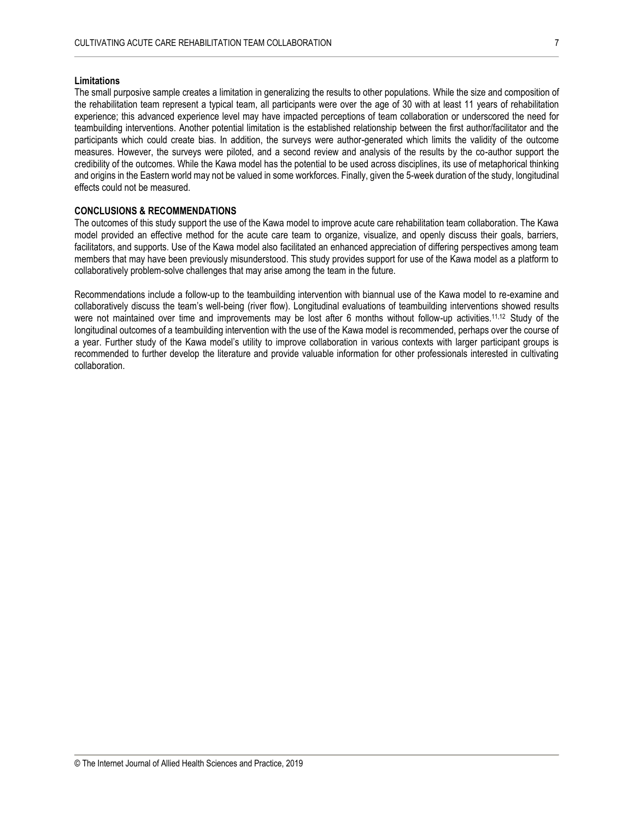#### **Limitations**

The small purposive sample creates a limitation in generalizing the results to other populations. While the size and composition of the rehabilitation team represent a typical team, all participants were over the age of 30 with at least 11 years of rehabilitation experience; this advanced experience level may have impacted perceptions of team collaboration or underscored the need for teambuilding interventions. Another potential limitation is the established relationship between the first author/facilitator and the participants which could create bias. In addition, the surveys were author-generated which limits the validity of the outcome measures. However, the surveys were piloted, and a second review and analysis of the results by the co-author support the credibility of the outcomes. While the Kawa model has the potential to be used across disciplines, its use of metaphorical thinking and origins in the Eastern world may not be valued in some workforces. Finally, given the 5-week duration of the study, longitudinal effects could not be measured.

## **CONCLUSIONS & RECOMMENDATIONS**

The outcomes of this study support the use of the Kawa model to improve acute care rehabilitation team collaboration. The Kawa model provided an effective method for the acute care team to organize, visualize, and openly discuss their goals, barriers, facilitators, and supports. Use of the Kawa model also facilitated an enhanced appreciation of differing perspectives among team members that may have been previously misunderstood. This study provides support for use of the Kawa model as a platform to collaboratively problem-solve challenges that may arise among the team in the future.

Recommendations include a follow-up to the teambuilding intervention with biannual use of the Kawa model to re-examine and collaboratively discuss the team's well-being (river flow). Longitudinal evaluations of teambuilding interventions showed results were not maintained over time and improvements may be lost after 6 months without follow-up activities.<sup>11,12</sup> Study of the longitudinal outcomes of a teambuilding intervention with the use of the Kawa model is recommended, perhaps over the course of a year. Further study of the Kawa model's utility to improve collaboration in various contexts with larger participant groups is recommended to further develop the literature and provide valuable information for other professionals interested in cultivating collaboration.